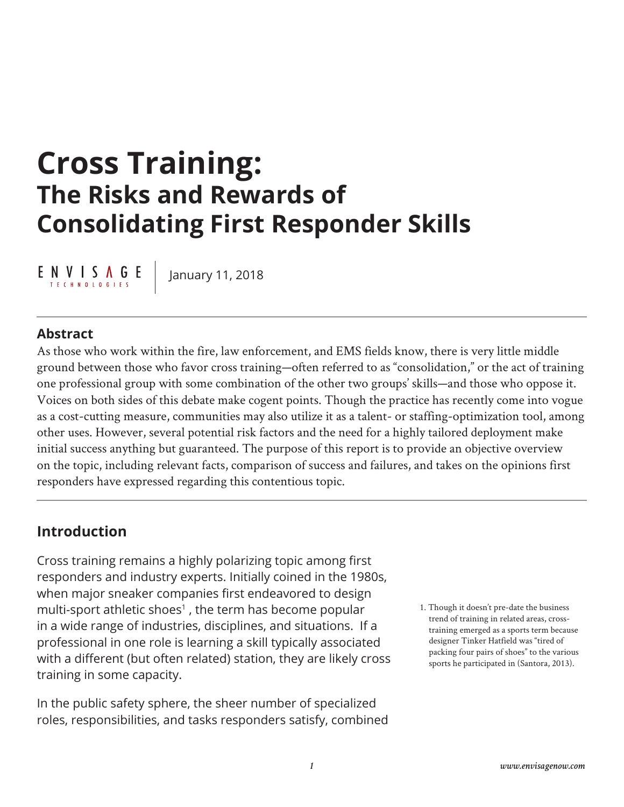# **Cross Training: The Risks and Rewards of Consolidating First Responder Skills**

 $E \underset{\text{TECHNOLO GIES}}{\text{N}} \underbrace{\text{N}} \underset{\text{F. E. C. H. NLO L. O. G. E. S}}{\text{N}} \underbrace{\text{N}} \underset{\text{F. S}}{\text{N}} E$ 

January 11, 2018

#### **Abstract**

As those who work within the fire, law enforcement, and EMS fields know, there is very little middle ground between those who favor cross training—often referred to as "consolidation," or the act of training one professional group with some combination of the other two groups' skills—and those who oppose it. Voices on both sides of this debate make cogent points. Though the practice has recently come into vogue as a cost-cutting measure, communities may also utilize it as a talent- or staffing-optimization tool, among other uses. However, several potential risk factors and the need for a highly tailored deployment make initial success anything but guaranteed. The purpose of this report is to provide an objective overview on the topic, including relevant facts, comparison of success and failures, and takes on the opinions first responders have expressed regarding this contentious topic.

#### **Introduction**

Cross training remains a highly polarizing topic among first responders and industry experts. Initially coined in the 1980s, when major sneaker companies first endeavored to design multi-sport athletic shoes $<sup>1</sup>$ , the term has become popular</sup> in a wide range of industries, disciplines, and situations. If a professional in one role is learning a skill typically associated with a different (but often related) station, they are likely cross training in some capacity.

In the public safety sphere, the sheer number of specialized roles, responsibilities, and tasks responders satisfy, combined 1. Though it doesn't pre-date the business trend of training in related areas, crosstraining emerged as a sports term because designer Tinker Hatfield was "tired of packing four pairs of shoes" to the various sports he participated in (Santora, 2013).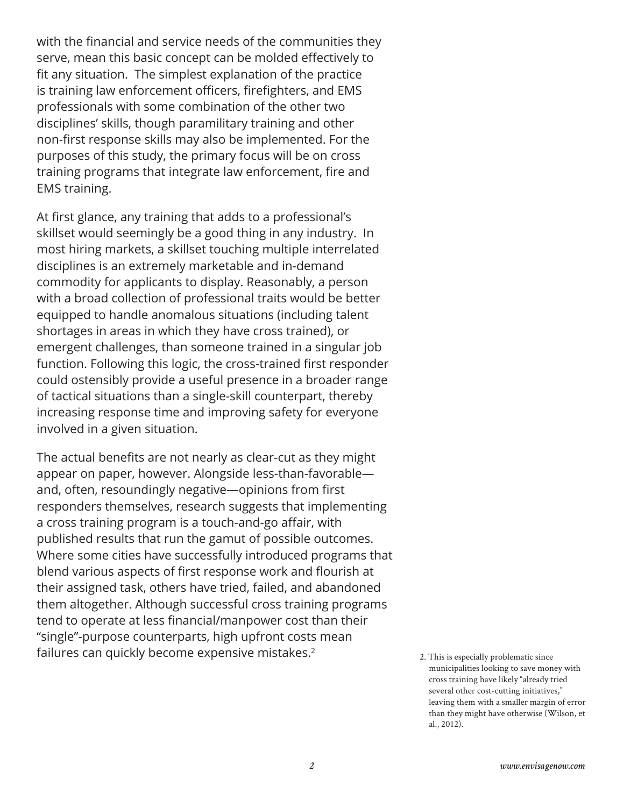with the financial and service needs of the communities they serve, mean this basic concept can be molded effectively to fit any situation. The simplest explanation of the practice is training law enforcement officers, firefighters, and EMS professionals with some combination of the other two disciplines' skills, though paramilitary training and other non-first response skills may also be implemented. For the purposes of this study, the primary focus will be on cross training programs that integrate law enforcement, fire and EMS training.

At first glance, any training that adds to a professional's skillset would seemingly be a good thing in any industry. In most hiring markets, a skillset touching multiple interrelated disciplines is an extremely marketable and in-demand commodity for applicants to display. Reasonably, a person with a broad collection of professional traits would be better equipped to handle anomalous situations (including talent shortages in areas in which they have cross trained), or emergent challenges, than someone trained in a singular job function. Following this logic, the cross-trained first responder could ostensibly provide a useful presence in a broader range of tactical situations than a single-skill counterpart, thereby increasing response time and improving safety for everyone involved in a given situation.

The actual benefits are not nearly as clear-cut as they might appear on paper, however. Alongside less-than-favorable and, often, resoundingly negative—opinions from first responders themselves, research suggests that implementing a cross training program is a touch-and-go affair, with published results that run the gamut of possible outcomes. Where some cities have successfully introduced programs that blend various aspects of first response work and flourish at their assigned task, others have tried, failed, and abandoned them altogether. Although successful cross training programs tend to operate at less financial/manpower cost than their "single"-purpose counterparts, high upfront costs mean failures can quickly become expensive mistakes.<sup>2</sup>

<sup>2.</sup> This is especially problematic since municipalities looking to save money with cross training have likely "already tried several other cost-cutting initiatives," leaving them with a smaller margin of error than they might have otherwise (Wilson, et al., 2012).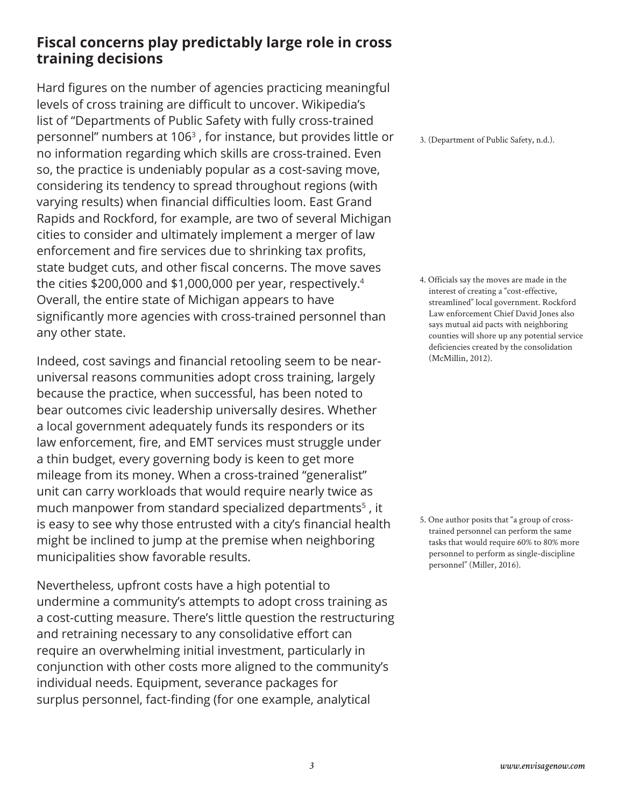### **Fiscal concerns play predictably large role in cross training decisions**

Hard figures on the number of agencies practicing meaningful levels of cross training are difficult to uncover. Wikipedia's list of "Departments of Public Safety with fully cross-trained personnel" numbers at 1063 , for instance, but provides little or no information regarding which skills are cross-trained. Even so, the practice is undeniably popular as a cost-saving move, considering its tendency to spread throughout regions (with varying results) when financial difficulties loom. East Grand Rapids and Rockford, for example, are two of several Michigan cities to consider and ultimately implement a merger of law enforcement and fire services due to shrinking tax profits, state budget cuts, and other fiscal concerns. The move saves the cities \$200,000 and \$1,000,000 per year, respectively.<sup>4</sup> Overall, the entire state of Michigan appears to have significantly more agencies with cross-trained personnel than any other state.

Indeed, cost savings and financial retooling seem to be nearuniversal reasons communities adopt cross training, largely because the practice, when successful, has been noted to bear outcomes civic leadership universally desires. Whether a local government adequately funds its responders or its law enforcement, fire, and EMT services must struggle under a thin budget, every governing body is keen to get more mileage from its money. When a cross-trained "generalist" unit can carry workloads that would require nearly twice as much manpower from standard specialized departments<sup>5</sup>, it is easy to see why those entrusted with a city's financial health might be inclined to jump at the premise when neighboring municipalities show favorable results.

Nevertheless, upfront costs have a high potential to undermine a community's attempts to adopt cross training as a cost-cutting measure. There's little question the restructuring and retraining necessary to any consolidative effort can require an overwhelming initial investment, particularly in conjunction with other costs more aligned to the community's individual needs. Equipment, severance packages for surplus personnel, fact-finding (for one example, analytical

3. (Department of Public Safety, n.d.).

4. Officials say the moves are made in the interest of creating a "cost-effective, streamlined" local government. Rockford Law enforcement Chief David Jones also says mutual aid pacts with neighboring counties will shore up any potential service deficiencies created by the consolidation (McMillin, 2012).

5. One author posits that "a group of crosstrained personnel can perform the same tasks that would require 60% to 80% more personnel to perform as single-discipline personnel" (Miller, 2016).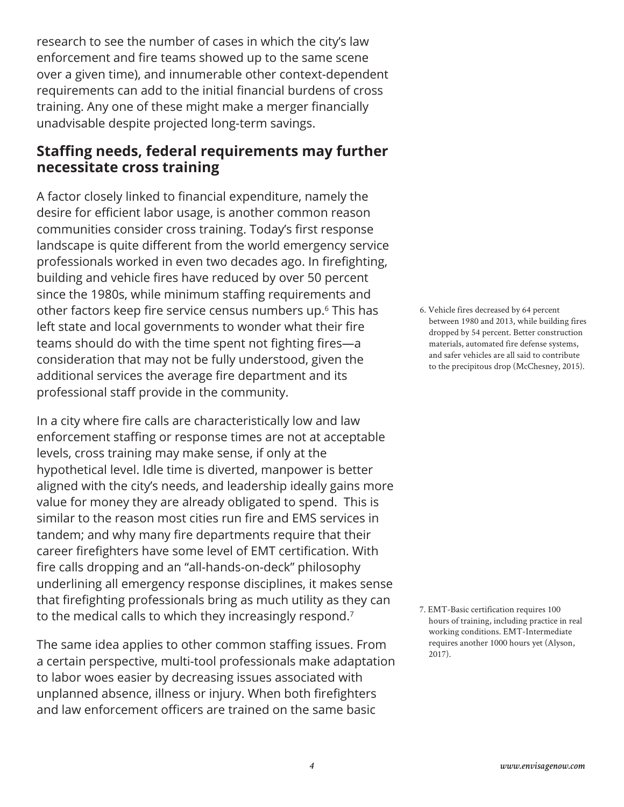research to see the number of cases in which the city's law enforcement and fire teams showed up to the same scene over a given time), and innumerable other context-dependent requirements can add to the initial financial burdens of cross training. Any one of these might make a merger financially unadvisable despite projected long-term savings.

#### **Staffing needs, federal requirements may further necessitate cross training**

A factor closely linked to financial expenditure, namely the desire for efficient labor usage, is another common reason communities consider cross training. Today's first response landscape is quite different from the world emergency service professionals worked in even two decades ago. In firefighting, building and vehicle fires have reduced by over 50 percent since the 1980s, while minimum staffing requirements and other factors keep fire service census numbers up.<sup>6</sup> This has left state and local governments to wonder what their fire teams should do with the time spent not fighting fires—a consideration that may not be fully understood, given the additional services the average fire department and its professional staff provide in the community.

In a city where fire calls are characteristically low and law enforcement staffing or response times are not at acceptable levels, cross training may make sense, if only at the hypothetical level. Idle time is diverted, manpower is better aligned with the city's needs, and leadership ideally gains more value for money they are already obligated to spend. This is similar to the reason most cities run fire and EMS services in tandem; and why many fire departments require that their career firefighters have some level of EMT certification. With fire calls dropping and an "all-hands-on-deck" philosophy underlining all emergency response disciplines, it makes sense that firefighting professionals bring as much utility as they can to the medical calls to which they increasingly respond.7

The same idea applies to other common staffing issues. From a certain perspective, multi-tool professionals make adaptation to labor woes easier by decreasing issues associated with unplanned absence, illness or injury. When both firefighters and law enforcement officers are trained on the same basic

6. Vehicle fires decreased by 64 percent between 1980 and 2013, while building fires dropped by 54 percent. Better construction materials, automated fire defense systems, and safer vehicles are all said to contribute to the precipitous drop (McChesney, 2015).

7. EMT-Basic certification requires 100 hours of training, including practice in real working conditions. EMT-Intermediate requires another 1000 hours yet (Alyson, 2017).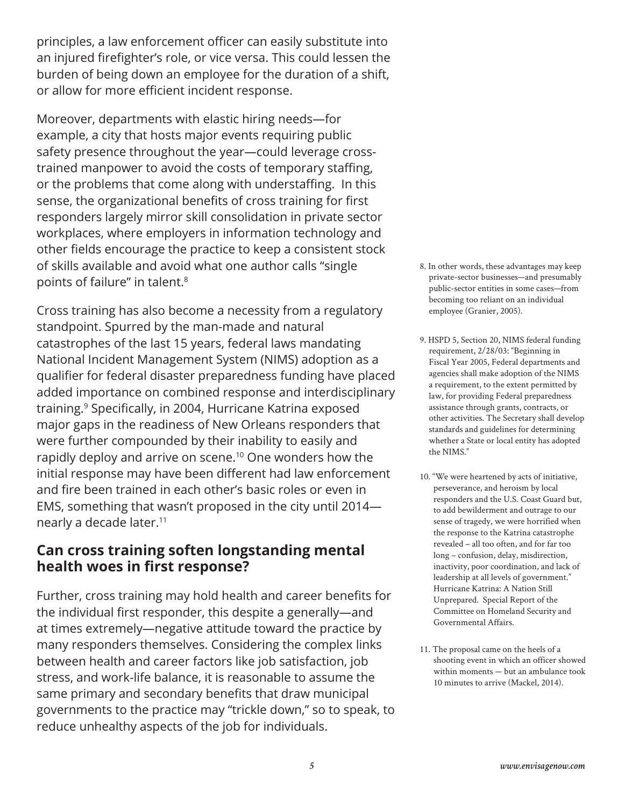principles, a law enforcement officer can easily substitute into an injured firefighter's role, or vice versa. This could lessen the burden of being down an employee for the duration of a shift, or allow for more efficient incident response.

Moreover, departments with elastic hiring needs—for example, a city that hosts major events requiring public safety presence throughout the year—could leverage crosstrained manpower to avoid the costs of temporary staffing, or the problems that come along with understaffing. In this sense, the organizational benefits of cross training for first responders largely mirror skill consolidation in private sector workplaces, where employers in information technology and other fields encourage the practice to keep a consistent stock of skills available and avoid what one author calls "single points of failure" in talent.8

Cross training has also become a necessity from a regulatory standpoint. Spurred by the man-made and natural catastrophes of the last 15 years, federal laws mandating National Incident Management System (NIMS) adoption as a qualifier for federal disaster preparedness funding have placed added importance on combined response and interdisciplinary training.9 Specifically, in 2004, Hurricane Katrina exposed major gaps in the readiness of New Orleans responders that were further compounded by their inability to easily and rapidly deploy and arrive on scene.<sup>10</sup> One wonders how the initial response may have been different had law enforcement and fire been trained in each other's basic roles or even in EMS, something that wasn't proposed in the city until 2014 nearly a decade later.<sup>11</sup>

#### **Can cross training soften longstanding mental health woes in first response?**

Further, cross training may hold health and career benefits for the individual first responder, this despite a generally—and at times extremely—negative attitude toward the practice by many responders themselves. Considering the complex links between health and career factors like job satisfaction, job stress, and work-life balance, it is reasonable to assume the same primary and secondary benefits that draw municipal governments to the practice may "trickle down," so to speak, to reduce unhealthy aspects of the job for individuals.

- 8. In other words, these advantages may keep private-sector businesses—and presumably public-sector entities in some cases—from becoming too reliant on an individual employee (Granier, 2005).
- 9. HSPD 5, Section 20, NIMS federal funding requirement, 2/28/03: "Beginning in Fiscal Year 2005, Federal departments and agencies shall make adoption of the NIMS a requirement, to the extent permitted by law, for providing Federal preparedness assistance through grants, contracts, or other activities. The Secretary shall develop standards and guidelines for determining whether a State or local entity has adopted the NIMS."
- 10. "We were heartened by acts of initiative, perseverance, and heroism by local responders and the U.S. Coast Guard but, to add bewilderment and outrage to our sense of tragedy, we were horrified when the response to the Katrina catastrophe revealed – all too often, and for far too long – confusion, delay, misdirection, inactivity, poor coordination, and lack of leadership at all levels of government." Hurricane Katrina: A Nation Still Unprepared. Special Report of the Committee on Homeland Security and Governmental Affairs.
- 11. The proposal came on the heels of a shooting event in which an officer showed within moments — but an ambulance took 10 minutes to arrive (Mackel, 2014).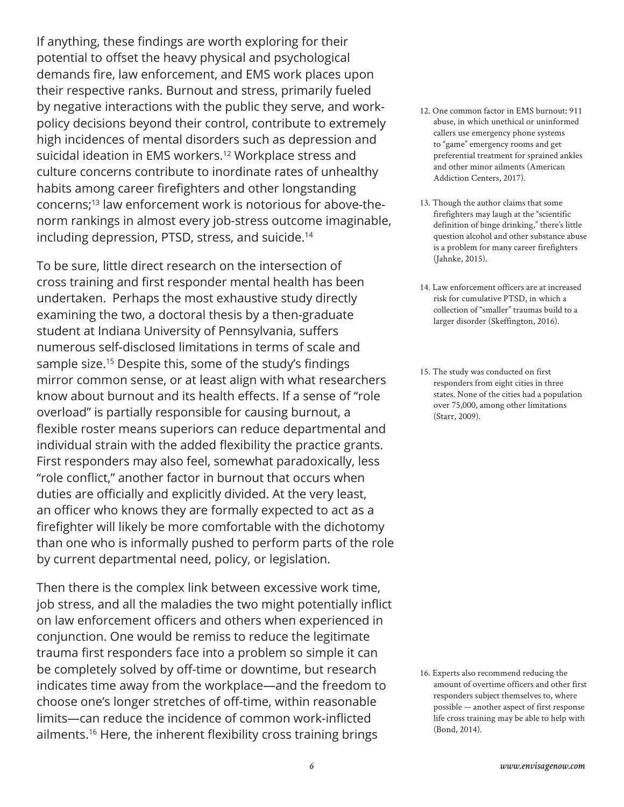If anything, these findings are worth exploring for their potential to offset the heavy physical and psychological demands fire, law enforcement, and EMS work places upon their respective ranks. Burnout and stress, primarily fueled by negative interactions with the public they serve, and workpolicy decisions beyond their control, contribute to extremely high incidences of mental disorders such as depression and suicidal ideation in EMS workers.<sup>12</sup> Workplace stress and culture concerns contribute to inordinate rates of unhealthy habits among career firefighters and other longstanding concerns;13 law enforcement work is notorious for above-thenorm rankings in almost every job-stress outcome imaginable, including depression, PTSD, stress, and suicide.<sup>14</sup>

To be sure, little direct research on the intersection of cross training and first responder mental health has been undertaken. Perhaps the most exhaustive study directly examining the two, a doctoral thesis by a then-graduate student at Indiana University of Pennsylvania, suffers numerous self-disclosed limitations in terms of scale and sample size.<sup>15</sup> Despite this, some of the study's findings mirror common sense, or at least align with what researchers know about burnout and its health effects. If a sense of "role overload" is partially responsible for causing burnout, a flexible roster means superiors can reduce departmental and individual strain with the added flexibility the practice grants. First responders may also feel, somewhat paradoxically, less "role conflict," another factor in burnout that occurs when duties are officially and explicitly divided. At the very least, an officer who knows they are formally expected to act as a firefighter will likely be more comfortable with the dichotomy than one who is informally pushed to perform parts of the role by current departmental need, policy, or legislation.

Then there is the complex link between excessive work time, job stress, and all the maladies the two might potentially inflict on law enforcement officers and others when experienced in conjunction. One would be remiss to reduce the legitimate trauma first responders face into a problem so simple it can be completely solved by off-time or downtime, but research indicates time away from the workplace—and the freedom to choose one's longer stretches of off-time, within reasonable limits—can reduce the incidence of common work-inflicted ailments.16 Here, the inherent flexibility cross training brings

- 12. One common factor in EMS burnout: 911 abuse, in which unethical or uninformed callers use emergency phone systems to "game" emergency rooms and get preferential treatment for sprained ankles and other minor ailments (American Addiction Centers, 2017).
- 13. Though the author claims that some firefighters may laugh at the "scientific definition of binge drinking," there's little question alcohol and other substance abuse is a problem for many career firefighters (Jahnke, 2015).
- 14. Law enforcement officers are at increased risk for cumulative PTSD, in which a collection of "smaller" traumas build to a larger disorder (Skeffington, 2016).
- 15. The study was conducted on first responders from eight cities in three states. None of the cities had a population over 75,000, among other limitations (Starr, 2009).

<sup>16.</sup> Experts also recommend reducing the amount of overtime officers and other first responders subject themselves to, where possible — another aspect of first response life cross training may be able to help with (Bond, 2014).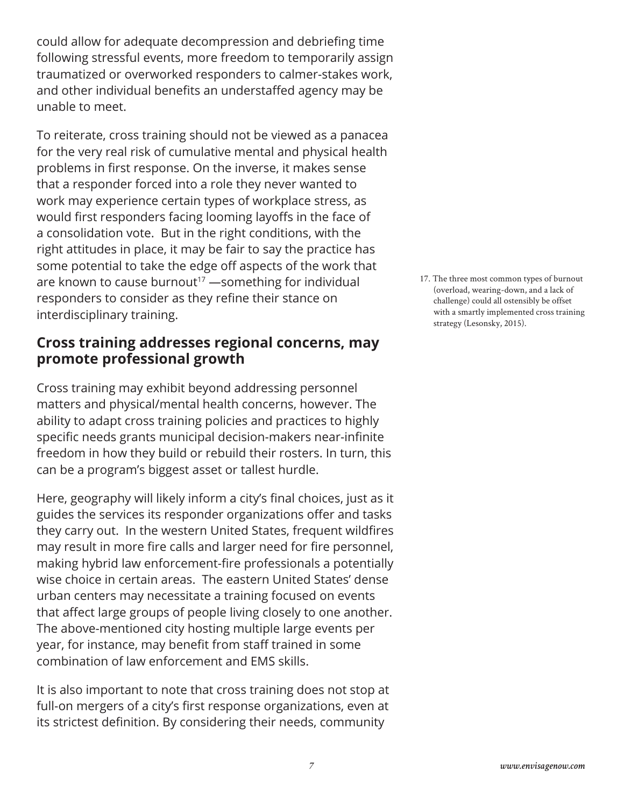could allow for adequate decompression and debriefing time following stressful events, more freedom to temporarily assign traumatized or overworked responders to calmer-stakes work, and other individual benefits an understaffed agency may be unable to meet.

To reiterate, cross training should not be viewed as a panacea for the very real risk of cumulative mental and physical health problems in first response. On the inverse, it makes sense that a responder forced into a role they never wanted to work may experience certain types of workplace stress, as would first responders facing looming layoffs in the face of a consolidation vote. But in the right conditions, with the right attitudes in place, it may be fair to say the practice has some potential to take the edge off aspects of the work that are known to cause burnout<sup>17</sup> —something for individual responders to consider as they refine their stance on interdisciplinary training.

#### **Cross training addresses regional concerns, may promote professional growth**

Cross training may exhibit beyond addressing personnel matters and physical/mental health concerns, however. The ability to adapt cross training policies and practices to highly specific needs grants municipal decision-makers near-infinite freedom in how they build or rebuild their rosters. In turn, this can be a program's biggest asset or tallest hurdle.

Here, geography will likely inform a city's final choices, just as it guides the services its responder organizations offer and tasks they carry out. In the western United States, frequent wildfires may result in more fire calls and larger need for fire personnel, making hybrid law enforcement-fire professionals a potentially wise choice in certain areas. The eastern United States' dense urban centers may necessitate a training focused on events that affect large groups of people living closely to one another. The above-mentioned city hosting multiple large events per year, for instance, may benefit from staff trained in some combination of law enforcement and EMS skills.

It is also important to note that cross training does not stop at full-on mergers of a city's first response organizations, even at its strictest definition. By considering their needs, community

17. The three most common types of burnout (overload, wearing-down, and a lack of challenge) could all ostensibly be offset with a smartly implemented cross training strategy (Lesonsky, 2015).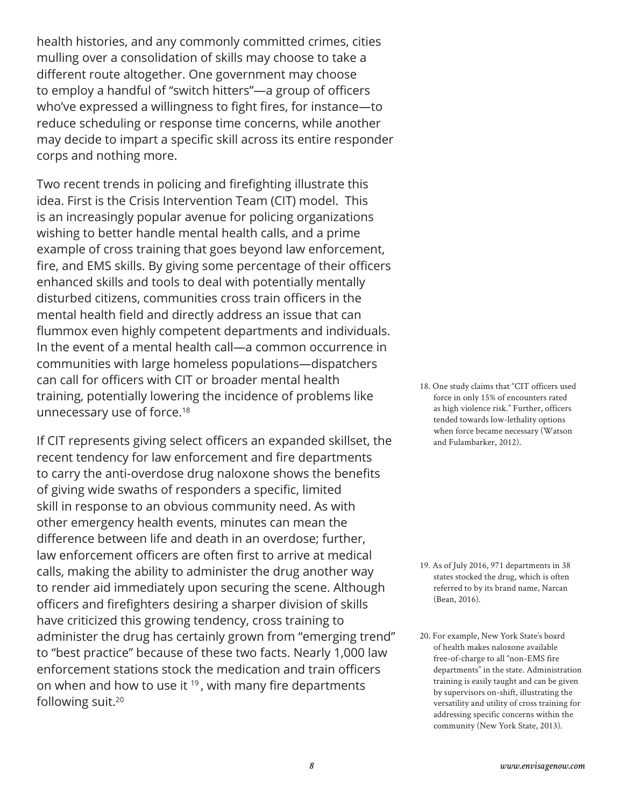health histories, and any commonly committed crimes, cities mulling over a consolidation of skills may choose to take a different route altogether. One government may choose to employ a handful of "switch hitters"—a group of officers who've expressed a willingness to fight fires, for instance—to reduce scheduling or response time concerns, while another may decide to impart a specific skill across its entire responder corps and nothing more.

Two recent trends in policing and firefighting illustrate this idea. First is the Crisis Intervention Team (CIT) model. This is an increasingly popular avenue for policing organizations wishing to better handle mental health calls, and a prime example of cross training that goes beyond law enforcement, fire, and EMS skills. By giving some percentage of their officers enhanced skills and tools to deal with potentially mentally disturbed citizens, communities cross train officers in the mental health field and directly address an issue that can flummox even highly competent departments and individuals. In the event of a mental health call—a common occurrence in communities with large homeless populations—dispatchers can call for officers with CIT or broader mental health training, potentially lowering the incidence of problems like unnecessary use of force.<sup>18</sup>

If CIT represents giving select officers an expanded skillset, the recent tendency for law enforcement and fire departments to carry the anti-overdose drug naloxone shows the benefits of giving wide swaths of responders a specific, limited skill in response to an obvious community need. As with other emergency health events, minutes can mean the difference between life and death in an overdose; further, law enforcement officers are often first to arrive at medical calls, making the ability to administer the drug another way to render aid immediately upon securing the scene. Although officers and firefighters desiring a sharper division of skills have criticized this growing tendency, cross training to administer the drug has certainly grown from "emerging trend" to "best practice" because of these two facts. Nearly 1,000 law enforcement stations stock the medication and train officers on when and how to use it  $19$ , with many fire departments following suit.20

18. One study claims that "CIT officers used force in only 15% of encounters rated as high violence risk." Further, officers tended towards low-lethality options when force became necessary (Watson and Fulambarker, 2012).

- 19. As of July 2016, 971 departments in 38 states stocked the drug, which is often referred to by its brand name, Narcan (Bean, 2016).
- 20. For example, New York State's board of health makes naloxone available free-of-charge to all "non-EMS fire departments" in the state. Administration training is easily taught and can be given by supervisors on-shift, illustrating the versatility and utility of cross training for addressing specific concerns within the community (New York State, 2013).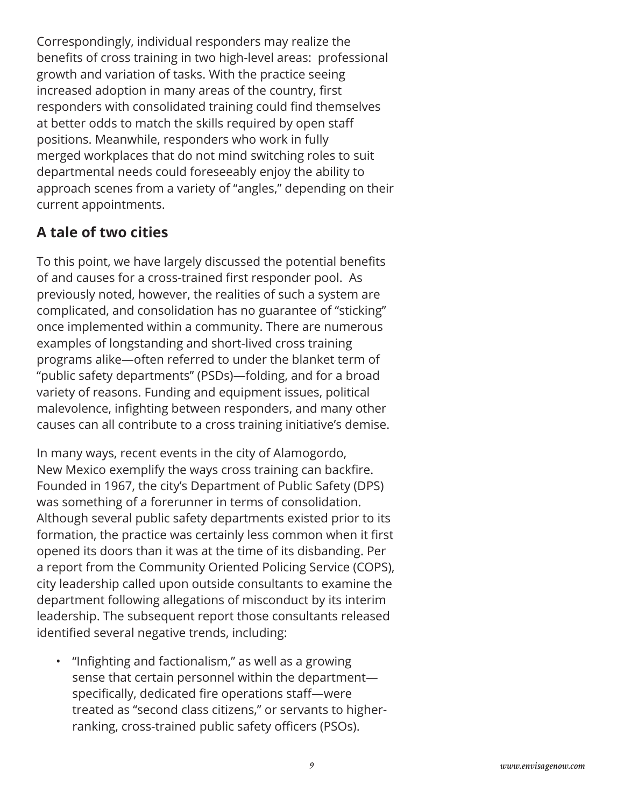Correspondingly, individual responders may realize the benefits of cross training in two high-level areas: professional growth and variation of tasks. With the practice seeing increased adoption in many areas of the country, first responders with consolidated training could find themselves at better odds to match the skills required by open staff positions. Meanwhile, responders who work in fully merged workplaces that do not mind switching roles to suit departmental needs could foreseeably enjoy the ability to approach scenes from a variety of "angles," depending on their current appointments.

## **A tale of two cities**

To this point, we have largely discussed the potential benefits of and causes for a cross-trained first responder pool. As previously noted, however, the realities of such a system are complicated, and consolidation has no guarantee of "sticking" once implemented within a community. There are numerous examples of longstanding and short-lived cross training programs alike—often referred to under the blanket term of "public safety departments" (PSDs)—folding, and for a broad variety of reasons. Funding and equipment issues, political malevolence, infighting between responders, and many other causes can all contribute to a cross training initiative's demise.

In many ways, recent events in the city of Alamogordo, New Mexico exemplify the ways cross training can backfire. Founded in 1967, the city's Department of Public Safety (DPS) was something of a forerunner in terms of consolidation. Although several public safety departments existed prior to its formation, the practice was certainly less common when it first opened its doors than it was at the time of its disbanding. Per a report from the Community Oriented Policing Service (COPS), city leadership called upon outside consultants to examine the department following allegations of misconduct by its interim leadership. The subsequent report those consultants released identified several negative trends, including:

• "Infighting and factionalism," as well as a growing sense that certain personnel within the department specifically, dedicated fire operations staff—were treated as "second class citizens," or servants to higherranking, cross-trained public safety officers (PSOs).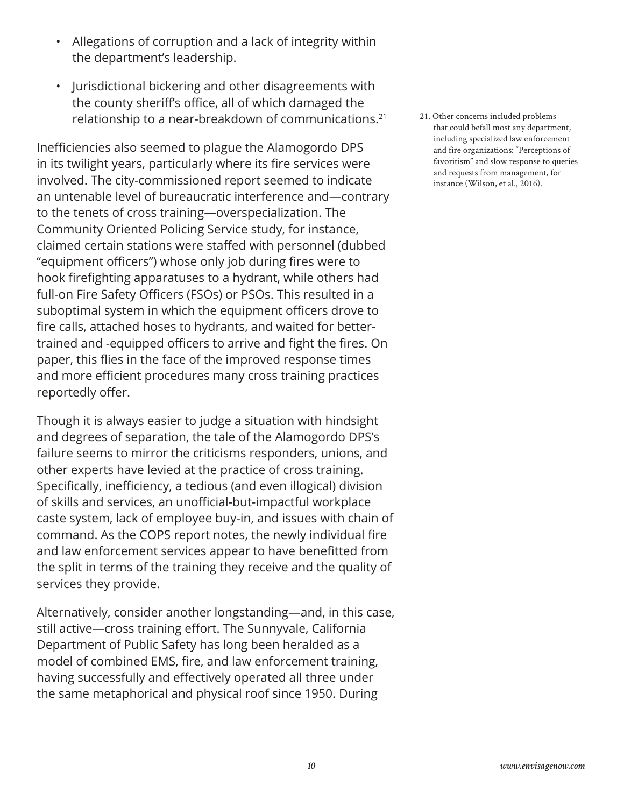- Allegations of corruption and a lack of integrity within the department's leadership.
- Jurisdictional bickering and other disagreements with the county sheriff's office, all of which damaged the relationship to a near-breakdown of communications.<sup>21</sup>

Inefficiencies also seemed to plague the Alamogordo DPS in its twilight years, particularly where its fire services were involved. The city-commissioned report seemed to indicate an untenable level of bureaucratic interference and—contrary to the tenets of cross training—overspecialization. The Community Oriented Policing Service study, for instance, claimed certain stations were staffed with personnel (dubbed "equipment officers") whose only job during fires were to hook firefighting apparatuses to a hydrant, while others had full-on Fire Safety Officers (FSOs) or PSOs. This resulted in a suboptimal system in which the equipment officers drove to fire calls, attached hoses to hydrants, and waited for bettertrained and -equipped officers to arrive and fight the fires. On paper, this flies in the face of the improved response times and more efficient procedures many cross training practices reportedly offer.

Though it is always easier to judge a situation with hindsight and degrees of separation, the tale of the Alamogordo DPS's failure seems to mirror the criticisms responders, unions, and other experts have levied at the practice of cross training. Specifically, inefficiency, a tedious (and even illogical) division of skills and services, an unofficial-but-impactful workplace caste system, lack of employee buy-in, and issues with chain of command. As the COPS report notes, the newly individual fire and law enforcement services appear to have benefitted from the split in terms of the training they receive and the quality of services they provide.

Alternatively, consider another longstanding—and, in this case, still active—cross training effort. The Sunnyvale, California Department of Public Safety has long been heralded as a model of combined EMS, fire, and law enforcement training, having successfully and effectively operated all three under the same metaphorical and physical roof since 1950. During

21. Other concerns included problems that could befall most any department, including specialized law enforcement and fire organizations: "Perceptions of favoritism" and slow response to queries and requests from management, for instance (Wilson, et al., 2016).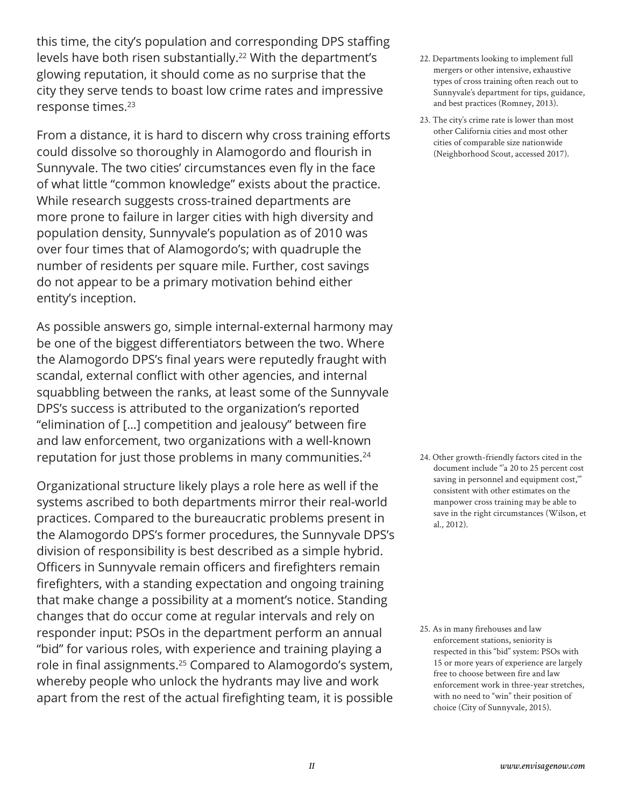this time, the city's population and corresponding DPS staffing levels have both risen substantially.<sup>22</sup> With the department's glowing reputation, it should come as no surprise that the city they serve tends to boast low crime rates and impressive response times.<sup>23</sup>

From a distance, it is hard to discern why cross training efforts could dissolve so thoroughly in Alamogordo and flourish in Sunnyvale. The two cities' circumstances even fly in the face of what little "common knowledge" exists about the practice. While research suggests cross-trained departments are more prone to failure in larger cities with high diversity and population density, Sunnyvale's population as of 2010 was over four times that of Alamogordo's; with quadruple the number of residents per square mile. Further, cost savings do not appear to be a primary motivation behind either entity's inception.

As possible answers go, simple internal-external harmony may be one of the biggest differentiators between the two. Where the Alamogordo DPS's final years were reputedly fraught with scandal, external conflict with other agencies, and internal squabbling between the ranks, at least some of the Sunnyvale DPS's success is attributed to the organization's reported "elimination of […] competition and jealousy" between fire and law enforcement, two organizations with a well-known reputation for just those problems in many communities.<sup>24</sup>

Organizational structure likely plays a role here as well if the systems ascribed to both departments mirror their real-world practices. Compared to the bureaucratic problems present in the Alamogordo DPS's former procedures, the Sunnyvale DPS's division of responsibility is best described as a simple hybrid. Officers in Sunnyvale remain officers and firefighters remain firefighters, with a standing expectation and ongoing training that make change a possibility at a moment's notice. Standing changes that do occur come at regular intervals and rely on responder input: PSOs in the department perform an annual "bid" for various roles, with experience and training playing a role in final assignments.25 Compared to Alamogordo's system, whereby people who unlock the hydrants may live and work apart from the rest of the actual firefighting team, it is possible

- 22. Departments looking to implement full mergers or other intensive, exhaustive types of cross training often reach out to Sunnyvale's department for tips, guidance, and best practices (Romney, 2013).
- 23. The city's crime rate is lower than most other California cities and most other cities of comparable size nationwide (Neighborhood Scout, accessed 2017).

24. Other growth-friendly factors cited in the document include "'a 20 to 25 percent cost saving in personnel and equipment cost," consistent with other estimates on the manpower cross training may be able to save in the right circumstances (Wilson, et al., 2012).

25. As in many firehouses and law enforcement stations, seniority is respected in this "bid" system: PSOs with 15 or more years of experience are largely free to choose between fire and law enforcement work in three-year stretches, with no need to "win" their position of choice (City of Sunnyvale, 2015).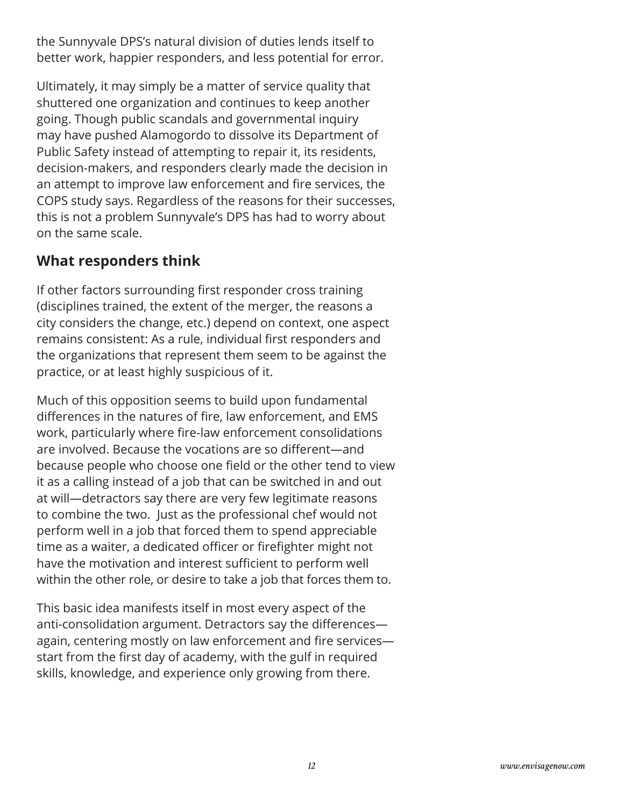the Sunnyvale DPS's natural division of duties lends itself to better work, happier responders, and less potential for error.

Ultimately, it may simply be a matter of service quality that shuttered one organization and continues to keep another going. Though public scandals and governmental inquiry may have pushed Alamogordo to dissolve its Department of Public Safety instead of attempting to repair it, its residents, decision-makers, and responders clearly made the decision in an attempt to improve law enforcement and fire services, the COPS study says. Regardless of the reasons for their successes, this is not a problem Sunnyvale's DPS has had to worry about on the same scale.

#### **What responders think**

If other factors surrounding first responder cross training (disciplines trained, the extent of the merger, the reasons a city considers the change, etc.) depend on context, one aspect remains consistent: As a rule, individual first responders and the organizations that represent them seem to be against the practice, or at least highly suspicious of it.

Much of this opposition seems to build upon fundamental differences in the natures of fire, law enforcement, and EMS work, particularly where fire-law enforcement consolidations are involved. Because the vocations are so different—and because people who choose one field or the other tend to view it as a calling instead of a job that can be switched in and out at will—detractors say there are very few legitimate reasons to combine the two. Just as the professional chef would not perform well in a job that forced them to spend appreciable time as a waiter, a dedicated officer or firefighter might not have the motivation and interest sufficient to perform well within the other role, or desire to take a job that forces them to.

This basic idea manifests itself in most every aspect of the anti-consolidation argument. Detractors say the differences again, centering mostly on law enforcement and fire services start from the first day of academy, with the gulf in required skills, knowledge, and experience only growing from there.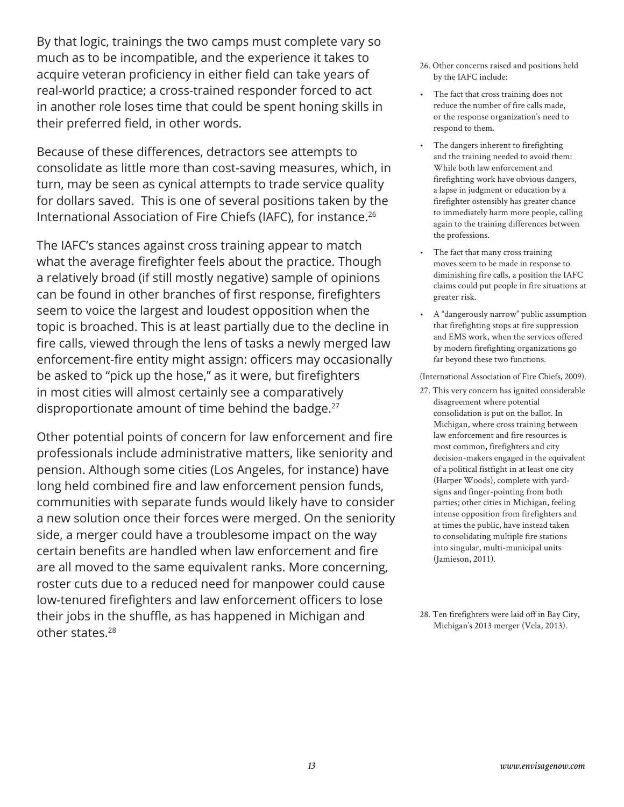By that logic, trainings the two camps must complete vary so much as to be incompatible, and the experience it takes to acquire veteran proficiency in either field can take years of real-world practice; a cross-trained responder forced to act in another role loses time that could be spent honing skills in their preferred field, in other words.

Because of these differences, detractors see attempts to consolidate as little more than cost-saving measures, which, in turn, may be seen as cynical attempts to trade service quality for dollars saved. This is one of several positions taken by the International Association of Fire Chiefs (IAFC), for instance.<sup>26</sup>

The IAFC's stances against cross training appear to match what the average firefighter feels about the practice. Though a relatively broad (if still mostly negative) sample of opinions can be found in other branches of first response, firefighters seem to voice the largest and loudest opposition when the topic is broached. This is at least partially due to the decline in fire calls, viewed through the lens of tasks a newly merged law enforcement-fire entity might assign: officers may occasionally be asked to "pick up the hose," as it were, but firefighters in most cities will almost certainly see a comparatively disproportionate amount of time behind the badge.<sup>27</sup>

Other potential points of concern for law enforcement and fire professionals include administrative matters, like seniority and pension. Although some cities (Los Angeles, for instance) have long held combined fire and law enforcement pension funds, communities with separate funds would likely have to consider a new solution once their forces were merged. On the seniority side, a merger could have a troublesome impact on the way certain benefits are handled when law enforcement and fire are all moved to the same equivalent ranks. More concerning, roster cuts due to a reduced need for manpower could cause low-tenured firefighters and law enforcement officers to lose their jobs in the shuffle, as has happened in Michigan and other states.<sup>28</sup>

- 26. Other concerns raised and positions held by the IAFC include:
- The fact that cross training does not reduce the number of fire calls made, or the response organization's need to respond to them.
- The dangers inherent to firefighting and the training needed to avoid them: While both law enforcement and firefighting work have obvious dangers, a lapse in judgment or education by a firefighter ostensibly has greater chance to immediately harm more people, calling again to the training differences between the professions.
- The fact that many cross training moves seem to be made in response to diminishing fire calls, a position the IAFC claims could put people in fire situations at greater risk.
- A "dangerously narrow" public assumption that firefighting stops at fire suppression and EMS work, when the services offered by modern firefighting organizations go far beyond these two functions.

(International Association of Fire Chiefs, 2009).

27. This very concern has ignited considerable disagreement where potential consolidation is put on the ballot. In Michigan, where cross training between law enforcement and fire resources is most common, firefighters and city decision-makers engaged in the equivalent of a political fistfight in at least one city (Harper Woods), complete with yardsigns and finger-pointing from both parties; other cities in Michigan, feeling intense opposition from firefighters and at times the public, have instead taken to consolidating multiple fire stations into singular, multi-municipal units (Jamieson, 2011).

<sup>28.</sup> Ten firefighters were laid off in Bay City, Michigan's 2013 merger (Vela, 2013).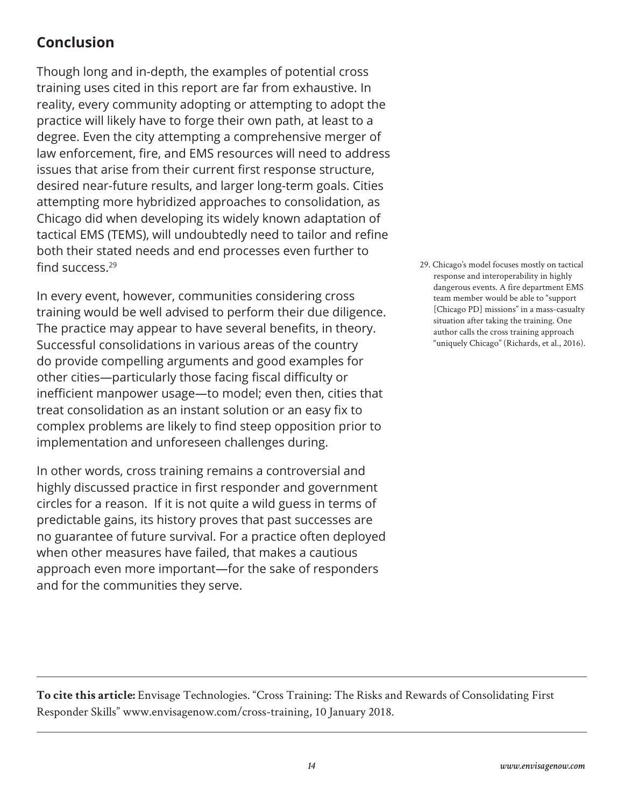## **Conclusion**

Though long and in-depth, the examples of potential cross training uses cited in this report are far from exhaustive. In reality, every community adopting or attempting to adopt the practice will likely have to forge their own path, at least to a degree. Even the city attempting a comprehensive merger of law enforcement, fire, and EMS resources will need to address issues that arise from their current first response structure, desired near-future results, and larger long-term goals. Cities attempting more hybridized approaches to consolidation, as Chicago did when developing its widely known adaptation of tactical EMS (TEMS), will undoubtedly need to tailor and refine both their stated needs and end processes even further to find success.<sup>29</sup>

In every event, however, communities considering cross training would be well advised to perform their due diligence. The practice may appear to have several benefits, in theory. Successful consolidations in various areas of the country do provide compelling arguments and good examples for other cities—particularly those facing fiscal difficulty or inefficient manpower usage—to model; even then, cities that treat consolidation as an instant solution or an easy fix to complex problems are likely to find steep opposition prior to implementation and unforeseen challenges during.

In other words, cross training remains a controversial and highly discussed practice in first responder and government circles for a reason. If it is not quite a wild guess in terms of predictable gains, its history proves that past successes are no guarantee of future survival. For a practice often deployed when other measures have failed, that makes a cautious approach even more important—for the sake of responders and for the communities they serve.

29. Chicago's model focuses mostly on tactical response and interoperability in highly dangerous events. A fire department EMS team member would be able to "support [Chicago PD] missions" in a mass-casualty situation after taking the training. One author calls the cross training approach "uniquely Chicago" (Richards, et al., 2016).

**To cite this article:** Envisage Technologies. "Cross Training: The Risks and Rewards of Consolidating First Responder Skills" www.envisagenow.com/cross-training, 10 January 2018.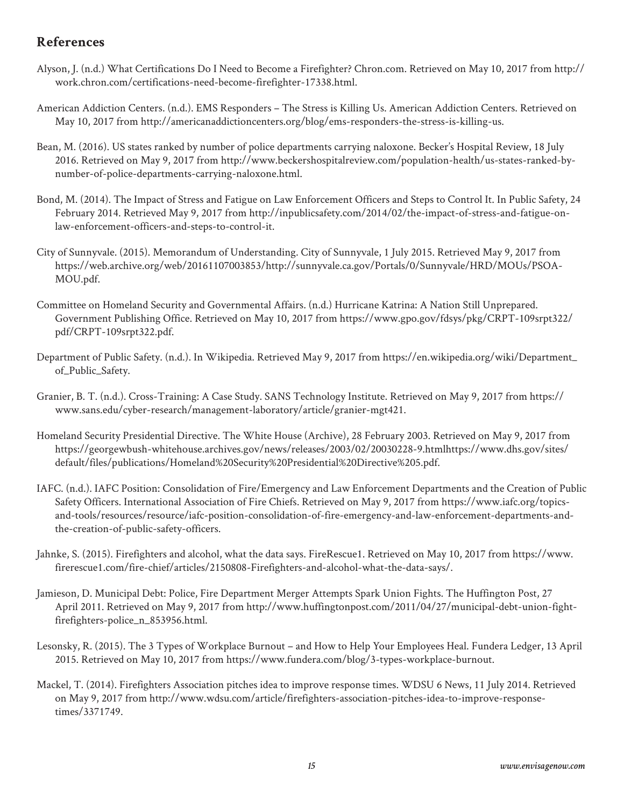#### **References**

- Alyson, J. (n.d.) What Certifications Do I Need to Become a Firefighter? Chron.com. Retrieved on May 10, 2017 from http:// work.chron.com/certifications-need-become-firefighter-17338.html.
- American Addiction Centers. (n.d.). EMS Responders The Stress is Killing Us. American Addiction Centers. Retrieved on May 10, 2017 from http://americanaddictioncenters.org/blog/ems-responders-the-stress-is-killing-us.
- Bean, M. (2016). US states ranked by number of police departments carrying naloxone. Becker's Hospital Review, 18 July 2016. Retrieved on May 9, 2017 from http://www.beckershospitalreview.com/population-health/us-states-ranked-bynumber-of-police-departments-carrying-naloxone.html.
- Bond, M. (2014). The Impact of Stress and Fatigue on Law Enforcement Officers and Steps to Control It. In Public Safety, 24 February 2014. Retrieved May 9, 2017 from http://inpublicsafety.com/2014/02/the-impact-of-stress-and-fatigue-onlaw-enforcement-officers-and-steps-to-control-it.
- City of Sunnyvale. (2015). Memorandum of Understanding. City of Sunnyvale, 1 July 2015. Retrieved May 9, 2017 from https://web.archive.org/web/20161107003853/http://sunnyvale.ca.gov/Portals/0/Sunnyvale/HRD/MOUs/PSOA-MOU.pdf.
- Committee on Homeland Security and Governmental Affairs. (n.d.) Hurricane Katrina: A Nation Still Unprepared. Government Publishing Office. Retrieved on May 10, 2017 from https://www.gpo.gov/fdsys/pkg/CRPT-109srpt322/ pdf/CRPT-109srpt322.pdf.
- Department of Public Safety. (n.d.). In Wikipedia. Retrieved May 9, 2017 from https://en.wikipedia.org/wiki/Department\_ of\_Public\_Safety.
- Granier, B. T. (n.d.). Cross-Training: A Case Study. SANS Technology Institute. Retrieved on May 9, 2017 from https:// www.sans.edu/cyber-research/management-laboratory/article/granier-mgt421.
- Homeland Security Presidential Directive. The White House (Archive), 28 February 2003. Retrieved on May 9, 2017 from https://georgewbush-whitehouse.archives.gov/news/releases/2003/02/20030228-9.htmlhttps://www.dhs.gov/sites/ default/files/publications/Homeland%20Security%20Presidential%20Directive%205.pdf.
- IAFC. (n.d.). IAFC Position: Consolidation of Fire/Emergency and Law Enforcement Departments and the Creation of Public Safety Officers. International Association of Fire Chiefs. Retrieved on May 9, 2017 from https://www.iafc.org/topicsand-tools/resources/resource/iafc-position-consolidation-of-fire-emergency-and-law-enforcement-departments-andthe-creation-of-public-safety-officers.
- Jahnke, S. (2015). Firefighters and alcohol, what the data says. FireRescue1. Retrieved on May 10, 2017 from https://www. firerescue1.com/fire-chief/articles/2150808-Firefighters-and-alcohol-what-the-data-says/.
- Jamieson, D. Municipal Debt: Police, Fire Department Merger Attempts Spark Union Fights. The Huffington Post, 27 April 2011. Retrieved on May 9, 2017 from http://www.huffingtonpost.com/2011/04/27/municipal-debt-union-fightfirefighters-police\_n\_853956.html.
- Lesonsky, R. (2015). The 3 Types of Workplace Burnout and How to Help Your Employees Heal. Fundera Ledger, 13 April 2015. Retrieved on May 10, 2017 from https://www.fundera.com/blog/3-types-workplace-burnout.
- Mackel, T. (2014). Firefighters Association pitches idea to improve response times. WDSU 6 News, 11 July 2014. Retrieved on May 9, 2017 from http://www.wdsu.com/article/firefighters-association-pitches-idea-to-improve-responsetimes/3371749.